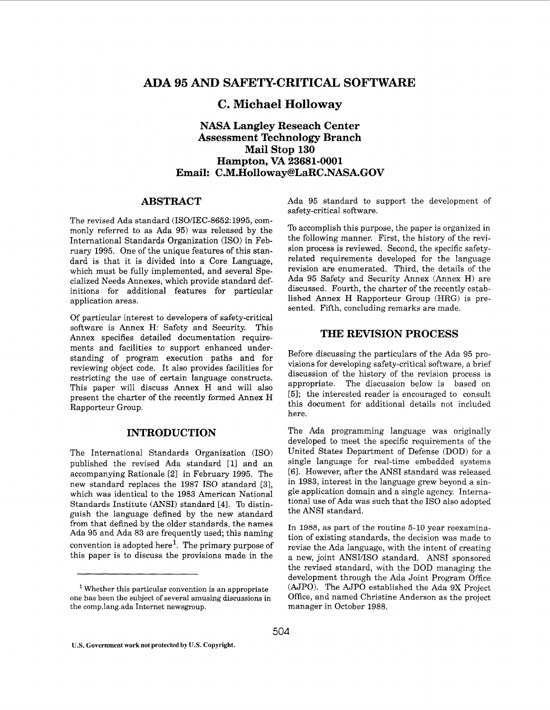# **ADA** *95 AND* **SAF'ETY-CRITICAL SOFTWARE**

# **C. Michael Holloway**

# **NASA Langley Reseach Center Assessment Technology Branch Email: C.M.Holloway@LaR[C .NASA.GOV](http://NASA.GOV) Mail Stop 130 Hampton, VA 23681-0001**

## **ABSTRACT**

The revised Ada standard (ISO/IEC-8652: 1995, commonly referred to as Ada 95) was released by the International Standards Organization (EO) in February 1995. One of the unique features of this standard is that it is divided into a Core Language, which must be fully implemented, and several Specialized Needs Annexes, which provide standard definitions for additional features for particular application areas.

Of particular interest to developers of safety-critical software is Annex H: Safety and Security. This Annex specifies detailed documentation requirements and facilities to support enhanced understanding of program execution paths and for reviewing object code. It also provides facilities for restricting the use of certain language constructs. This paper will discuss Annex H and will also present the charter of the recently formed Annex H Rapporteur Group.

# **INTRODUCTION**

The International Standards Organization (ISO) published the revised Ada standard [ll and an accompanying Rationale [21 in February 1995. The new standard replaces the 1987 IS0 standard [31, which was identical to the 1983 American National Standards Institute (ANSI) standard [41. To distinguish the language defined by the new standard from that defined by the older standards, the names Ada 95 and Ada 83 are frequently used; this naming convention is adopted here<sup>1</sup>. The primary purpose of this paper is to discuss the provisions made in the

Ada 95 standard to support the development of safety-critical software.

To accomplish this purpose, the paper is organized in the following manner. First, the history of the revision process is reviewed. Second, the specific safetyrelated requirements developed for the language revision are enumerated. Third, the details of the Ada 95 Safety and Security Annex (Annex H) are discussed. Fourth, the charter of the recently established Annex H Rapporteur Group (HRG) is presented. Fifth, concluding remarks are made.

# **THE REVISION PROCESS**

Before discussing the particulars of the Ada 95 provisions for developing safety-critical software, a brief discussion of the history of the revision process is appropriate. The discussion below is based on **[51;** the interested reader is encouraged to consult this document for additional details not included here.

The Ada programming language was originally developed to meet the specific requirements of the United States Department of Defense (DOD) for a single language for real-time embedded systems [61. However, after the ANSI standard was released in 1983, interest in the language grew beyond a single application domain and a single agency. International use of Ada was such that the IS0 also adopted the ANSI standard.

In **1988,** as part of the routine 5-10 year reexamination of existing standards, the decision was made to revise the Ada language, with the intent of creating a new, joint ANSI/ISO standard. ANSI sponsored the revised standard, with the DOD managing the development through the Ada Joint Program Office (AJPO). The AJPO established the Ada 9X Project Office, and named Christine Anderson as the project manager in October 1988.

Whether this particular convention is an appropriate one has been the subject of several amusing discussions in the comp.lang.ada Internet newsgroup.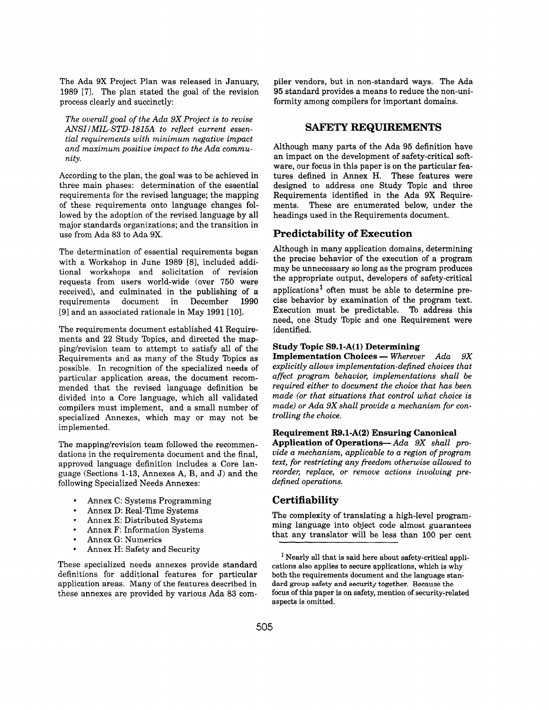The Ada 9X Project Plan was released in January, 1989 [7]. The plan stated the goal of the revision process clearly and succinctly:

*The overall goal of the Ada 9X Project is to revise*  ANSI/MIL-STD-1815A to reflect current essen*tial requirements with minimum negative impact and maximum positive impact to the Ada community.* 

According to the plan, the goal was to be achieved in three main phases: determination of the essential requirements for the revised language; the mapping of these requirements onto language changes followed by the adoption of the revised language by all major standards organizations; and the transition in use from Ada **83** to Ada 9X.

The determination of essential requirements began with a Workshop in June 1989 [8], included additional workshops and solicitation of revision requests from users world-wide (over 750 were received), and culminated in the publishing of a requirements document in December 1990 [9] and an associated rationale in May 1991 [10].

The requirements document established **41** Requirements and 22 Study Topics, and directed the mapping/revision team to attempt to satisfy all of the Requirements and as many of the Study Topics as possible. In recognition of the specialized needs of particular application areas, the document recommended that the revised language definition be divided into a Core language, which all validated compilers must implement, and a small number of specialized Annexes, which may or may not be implemented.

The mapping/revision team followed the recommendations in the requirements document and the final, approved language definition includes a Core language (Sections **1-13,** Annexes A, B, and J) and the following Specialized Needs Annexes:

- Annex C: Systems Programming
- Annex D: Real-Time Systems
- Annex E: Distributed Systems
- $\bullet$ Annex F: Information Systems
- $\bullet$ Annex G: Numerics
- $\bullet$ Annex H: Safety and Security

These specialized needs annexes provide standard definitions for additional features for particular application areas. Many of the features described in these annexes are provided by various Ada **83** compiler vendors, but in non-standard ways. The Ada **95** standard provides a means to reduce the non-uniformity among compilers for important domains.

## **SAFETY REQUIREMENTS**

Although many parts of the Ada 95 definition have an impact on the development of safety-critical software, our focus in this paper is on the particular features defined in Annex **H.** These features were designed to address one Study Topic and three Requirements identified in the Ada **9X** Requirements. These are enumerated below, under the headings used in the Requirements document.

## **Predictability of Execution**

Although in many application domains, determining the precise behavior of the execution of a program may be unnecessary so long as the program produces the appropriate output, developers of safety-critical applications<sup>1</sup> often must be able to determine precise behavior by examination of the program text. Execution must be predictable. To address this need, one Study Topic and one Requirement were identified.

**Study Topic S9.1-A(1) Determining**<br> **Implementation Choices — Wherever** Ada 9X<br> **implicitly allows incluse this of the disk of the disk of the disk of the disk of the disk of the disk of the disk of the disk of the disk o** *explicitly allows implementation-defined choices that affect program behavior, implementations shall be required either to document the choice that has been made (or that situations that control what choice is made) or Ada 9X shall provide a mechanism for controlling the choice.* 

#### **Requirement R9.1-A(2) Ensuring Canonical**

**Application of Operations-** *Ada 9X shall provide a mechanism, applicable to a region of program text, for restricting any freedom otherwise allowed to reorder, replace, or remove actions involving predefined operations.* 

# **Certifiability**

The complexity of translating a high-level programming language into object code almost guarantees that any translator will be less than 100 per cent

<sup>&</sup>lt;sup>1</sup> Nearly all that is said here about safety-critical applications also applies to secure applications, which is why both the requirements document and the language stan**dard group safety and security together.** Because the focus of this paper is on safety, mention **of** security-related aspects is omitted.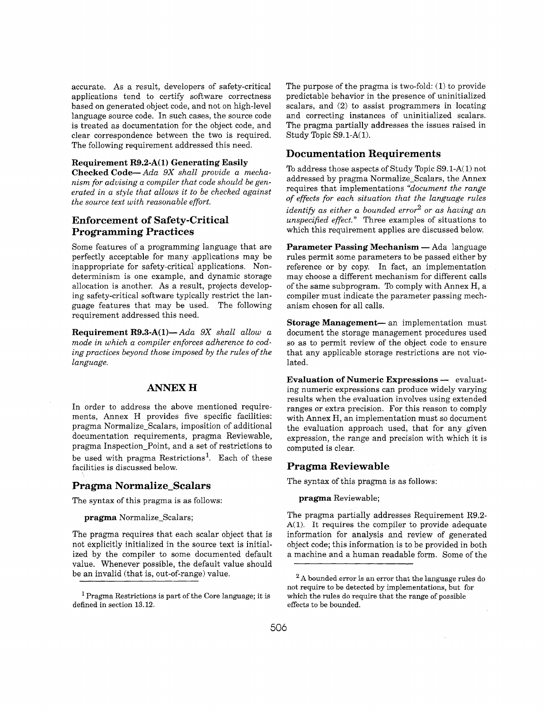accurate. As a result, developers of safety-critical applications tend to certify software correctness based on generated object code, and not on high-level language source code. In such cases, the source code is treated as documentation for the object code, and clear correspondence between the two is required. The following requirement addressed this need.

#### **Requirement R9.2-A(1) Generating Easily**

**Checked Code-** *Ada 9X shall provide a mechanism for advising a compiler that code should be generated in a style that allows it to be checked against the source text with reasonable effort.* 

# **Enforcement of Safety-Critical Programming Practices**

Some features of a programming language that are perfectly acceptable for many \applications may be inappropriate for safety-critical applications. Nondeterminism is one example, and dynamic storage allocation is another. As a result, projects developing safety-critical software typically restrict the language features that may be used. The following requirement addressed this need.

**Requirement R9.3-A(1)-** *Ada 9X shall allow a mode in which a compiler enforces adherence to cod*ing practices beyond those imposed by the rules of the *language.* 

### **ANNEX H**

In order to address the above mentioned requirements, Annex H provides five specific facilities: pragma Normalize-Scalars, imposition of additional documentation requirements, pragma Reviewable, pragma Inspection-Point, and a set of restrictions to be used with pragma Restrictions'. Each of these facilities is discussed below.

#### **Pragma Normalize-Scalars**

The syntax of this pragma is as follows:

**pragma** Normalize-Scalars;

The pragma requires that each scalar object that is not explicitly initialized in the source text is initialized by the compiler to some documented default value. Whenever possible, the default value should be an invalid (that is, out-of-range) value.

The purpose of the pragma is two-fold: **(1)** to provide predictable behavior in the presence of uninitialized scalars, and (2) to assist programmers in locating and correcting instances of uninitialized scalars. The pragma partially addresses the issues raised in Study Topic S9.1-A(1).

## **Documentation Requirements**

To address those aspects of Study Topic S9.l-A(1) not addressed by pragma Normalize-Scalars, the Annex requires that implementations *"document the range of effects for each situation that the language rules identify as either a bounded error2 or as having an unspecified effect.* " Three examples of situations to which this requirement applies are discussed below.

Parameter Passing Mechanism - Ada language rules permit some parameters to be passed either by reference or by copy. In fact, an implementation may choose a different mechanism for different calls of the same subprogram. To comply with Annex H, a compiler must indicate the parameter passing mechanism chosen for all calls.

**Storage Management**- an implementation must document the storage management procedures used so as to permit review of the object code to ensure that any applicable storage restrictions are not violated.

**Evaluation of Numeric Expressions --** evaluating numeric expressions can produce widely varying results when the evaluation involves using extended ranges or extra precision. For this reason to comply with Annex H, an implementation must so document the evaluation approach used, that for any given expression, the range and precision with which it is computed is clear.

## **Pragma Reviewable**

The syntax of this pragma is as follows:

**pragma** Reviewable;

The pragma partially addresses Requirement R9.2- **A(1).** It requires the compiler to provide adequate information for analysis and review of generated object code; this information is to be provided in both a machine and a human readable form. Some of the

 $<sup>1</sup>$  Pragma Restrictions is part of the Core language; it is</sup> defined in section 13.12.

**A** bounded error is an error that the language rules do not require to be detected by implementations, but for which the rules do require that the range of possible effects to be bounded.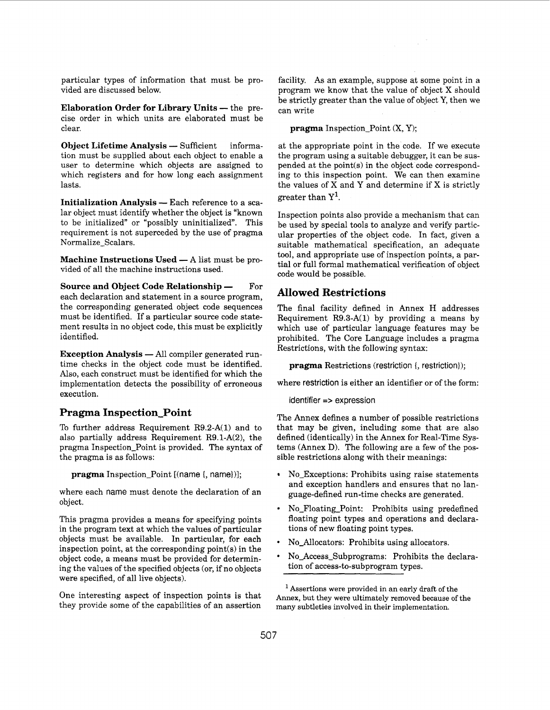particular types of information that must be provided are discussed below.

**Elaboration Order for Library Units — the pre**cise order in which units are elaborated must be clear.

**Object Lifetime Analysis - Sufficient informa**tion must be supplied about each object to enable a user to determine which objects are assigned to which registers and for how long each assignment lasts.

**Initialization Analysis — Each reference to a sca**lar object must identify whether the object is "known to be initialized" or "possibly uninitialized". This requirement is not superceded by the use of pragma Normalize-Scalars.

**Machine Instructions Used — A list must be pro**vided of all the machine instructions used.

**Source and Object Code Relationship -** For each declaration and statement in a source program, the corresponding generated object code sequences must be identified. If a particular source code statement results in no object code, this must be explicitly identified.

**Exception Analysis — All compiler generated run**time checks in the object code must be identified. Also, each construct must be identified for which the implementation detects the possibility of erroneous execution.

# **Pragma Inspection-Point**

To further address Requirement R9.2-A(1) and to also partially address Requirement R9.1-A(2), the pragma Inspection-Point is provided. The syntax of the pragma is as follows:

**pragma** Inspection-Point [(name {, name})];

where each name must denote the declaration of an object.

This pragma provides a means for specifying points in the program text at which the values of particular objects must be available. In particular, for each inspection point, at the corresponding point(s) in the object code, a means must be provided for determining the values of the specified objects (or, if no objects were specified, of all live objects).

One interesting aspect of inspection points is that they provide some of the capabilities of an assertion

facility. **As** an example, suppose at some point in a program we know that the value of object X should be strictly greater than the value of object Y, then we can write

**pragma** Inspection Point (X, Y);

at the appropriate point in the code. If we execute the program using a suitable debugger, it can be suspended at the point(s) in the object code corresponding to this inspection point. We can then examine the values of X and Y and determine if X is strictly greater than  $Y^1$ .

Inspection points also provide a mechanism that can be used by special tools to analyze and verify particular properties of the object code. In fact, given a suitable mathematical specification, an adequate tool, and appropriate use of inspection points, a partial or full formal mathematical verification of object code would be possible.

# **Allowed Restrictions**

The final facility defined in Annex H addresses Requirement  $R9.3-A(1)$  by providing a means by which use of particular language features may be prohibited. The Core Language includes a pragma Restrictions, with the following syntax:

**pragma** Restrictions (restriction {, restriction});

where restriction is either an identifier or of the form:

identifier => expression

The Annex defines a number of possible restrictions that may be given, including some that are also defined (identically) in the Annex for Real-Time Systems (Annex D). The following are a few of the possible restrictions along with their meanings:

- No-Exceptions: Prohibits using raise statements and exception handlers and ensures that no language-defined run-time checks are generated.
- No-Floating-point: Prohibits using predefined  $\bullet$ floating point types and operations and declarations of new floating point types.
- No-Allocators: Prohibits using allocators.
- No-Access-Subprograms: Prohibits the declaration of access-to-subprogram types.

<sup>&</sup>lt;sup>1</sup> Assertions were provided in an early draft of the Annex, but they were ultimately removed because of the many subtleties involved in their implementation.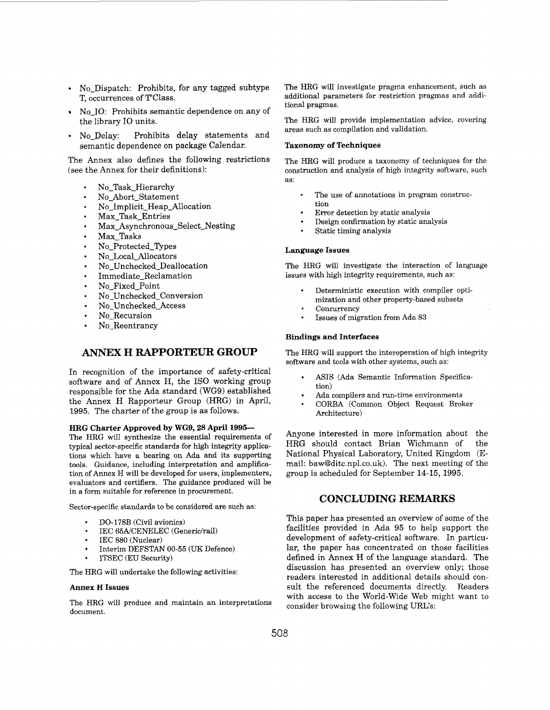- No Dispatch: Prohibits, for any tagged subtype T, occurrences of T'Class.
- No IO: Prohibits semantic dependence on any of the library IO units.
- No-Delay: Prohibits delay statements and semantic dependence on package Calendar.

The Annex also defines the following restrictions (see the Annex for their definitions):

- No-Task-Hierarchy
- No-Abort-Statement
- No-Implicit-Heap-Allocation
- Max-Task-Entries
- Max-Asynchronous-Select-Nesting
- Max-Tasks
- No-Protected-Types
- No-Local-Allocators
- No-Unchecked-Deallocation
- Immediate-Reclamation
- No-Fixed-point
- No-Unchecked-Conversion  $\bullet$
- No-Unchecked-Access
- No-Recursion
- No Reentrancy

# **ANNEX H RAPPORTEUR GROUP**

In recognition of the importance of safety-critical software and of Annex H, the IS0 working group responsible for the Ada standard (WG9) established the Annex H Rapporteur Group (HRG) in April, 1995. The charter of the group is as follows.

## **HRG Charter Approved by WG9,28 April 1995-**

The HRG will synthesize the essential requirements of typical sector-specific standards for high integrity applications which have a bearing on Ada and its supporting tools. Guidance, including interpretation and amplification of Annex H will be developed for users, implementers, evaluators and certifiers. The guidance produced will be in a form suitable for reference in procurement.

Sector-specific standards to be considered are such as:

- DO-178B (Civil avionics)
- IEC 65A/CENELEC (Generic/rail)
- IEC 880 (Nuclear)
- Interim DEFSTAN **00-55** (UK Defence)
- ITSEC (EU Security)

The HRG will undertake the following activities:

#### **Annex H Issues**

The HRG will produce and maintain an interpretations document.

The HRG will investigate pragma enhancement, such as additional parameters for restriction pragmas and additional pragmas.

The HRG will provide implementation advice, covering areas such as compilation and validation.

#### **Taxonomy of Techniques**

The HRG will produce a taxonomy of techniques for the construction and analysis of high integrity software, such as:

- **Q**  The use of annotations in program construction
- Error detection by static analysis
- Design confirmation by static analysis
- Static timing analysis

#### **Language Issues**

The HRG will investigate the interaction of language issues with high integrity requirements, such as:

- Deterministic execution with compiler optimization and other property-based subsets
- **Concurrency**
- Issues of migration from Ada **83**

#### **Bindings and Interfaces**

The HRG will support the interoperation of high integrity software and tools with other systems, such as:

- ASIS (Ada Semantic Information Specification)
- Ada compilers and run-time environments
- CORBA (Common Object Request Broker Architecture)

Anyone interested in more information about the HRG should contact Brian Wichmann of the National Physical Laboratory, United Kingdom (Email: baw@ditc.npl.co.uk). The next meeting of the group is scheduled for September 14-15, 1995.

# **CONCLUDING RERlARKS**

This paper has presented an overview of some of the facilities provided in Ada 95 to help support the development of safety-critical software. In particular, the paper has concentrated on those facilities defined in Annex H of the language standard. The discussion has presented an overview only; those readers interested in additional details should consult the referenced documents directly. Readers with access to the World-Wide Web might want to consider browsing the following URL's: